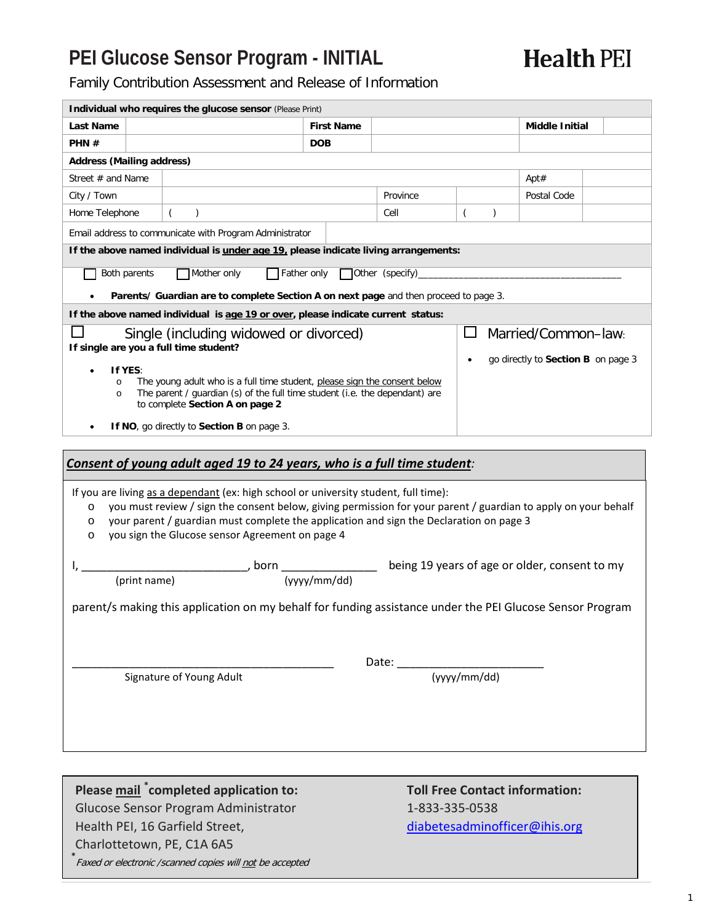## **PEI Glucose Sensor Program - INITIAL**

**Health PEI** 

Family Contribution Assessment and Release of Information

|                                                                                                           | Individual who requires the glucose sensor (Please Print)                                                                                                                                              |                                       |          |                                   |                                    |  |
|-----------------------------------------------------------------------------------------------------------|--------------------------------------------------------------------------------------------------------------------------------------------------------------------------------------------------------|---------------------------------------|----------|-----------------------------------|------------------------------------|--|
| Last Name                                                                                                 |                                                                                                                                                                                                        | <b>First Name</b>                     |          |                                   | <b>Middle Initial</b>              |  |
| PHN#                                                                                                      | <b>DOB</b>                                                                                                                                                                                             |                                       |          |                                   |                                    |  |
| <b>Address (Mailing address)</b>                                                                          |                                                                                                                                                                                                        |                                       |          |                                   |                                    |  |
| Street $#$ and Name                                                                                       |                                                                                                                                                                                                        |                                       |          |                                   | Apt#                               |  |
| City / Town                                                                                               |                                                                                                                                                                                                        |                                       | Province |                                   | Postal Code                        |  |
| Home Telephone                                                                                            | $\left($<br>$\mathcal{C}$                                                                                                                                                                              |                                       | Cell     | $\overline{(\ }$<br>$\mathcal{E}$ |                                    |  |
|                                                                                                           | Email address to communicate with Program Administrator                                                                                                                                                |                                       |          |                                   |                                    |  |
|                                                                                                           | If the above named individual is under age 19, please indicate living arrangements:                                                                                                                    |                                       |          |                                   |                                    |  |
| Both parents                                                                                              | Mother only                                                                                                                                                                                            | Father only <b>Other</b> (specify)___ |          |                                   |                                    |  |
|                                                                                                           | Parents/ Guardian are to complete Section A on next page and then proceed to page 3.                                                                                                                   |                                       |          |                                   |                                    |  |
|                                                                                                           | If the above named individual is age 19 or over, please indicate current status:                                                                                                                       |                                       |          |                                   |                                    |  |
|                                                                                                           | Single (including widowed or divorced)                                                                                                                                                                 |                                       |          |                                   | Married/Common-law:                |  |
| If single are you a full time student?                                                                    |                                                                                                                                                                                                        |                                       |          |                                   | go directly to Section B on page 3 |  |
| If YES:                                                                                                   |                                                                                                                                                                                                        |                                       |          |                                   |                                    |  |
| $\circ$<br>$\circ$                                                                                        | The young adult who is a full time student, please sign the consent below<br>The parent / guardian (s) of the full time student (i.e. the dependant) are                                               |                                       |          |                                   |                                    |  |
|                                                                                                           | to complete Section A on page 2                                                                                                                                                                        |                                       |          |                                   |                                    |  |
|                                                                                                           | If NO, go directly to Section B on page 3.                                                                                                                                                             |                                       |          |                                   |                                    |  |
|                                                                                                           |                                                                                                                                                                                                        |                                       |          |                                   |                                    |  |
|                                                                                                           | Consent of young adult aged 19 to 24 years, who is a full time student:                                                                                                                                |                                       |          |                                   |                                    |  |
|                                                                                                           |                                                                                                                                                                                                        |                                       |          |                                   |                                    |  |
| $\circ$                                                                                                   | If you are living as a dependant (ex: high school or university student, full time):<br>you must review / sign the consent below, giving permission for your parent / guardian to apply on your behalf |                                       |          |                                   |                                    |  |
| $\circ$                                                                                                   | your parent / guardian must complete the application and sign the Declaration on page 3                                                                                                                |                                       |          |                                   |                                    |  |
| $\circ$                                                                                                   | you sign the Glucose sensor Agreement on page 4                                                                                                                                                        |                                       |          |                                   |                                    |  |
|                                                                                                           |                                                                                                                                                                                                        |                                       |          |                                   |                                    |  |
|                                                                                                           |                                                                                                                                                                                                        |                                       |          |                                   |                                    |  |
| $\frac{1}{(print \ name)}$ , born $\frac{1}{(yyyy/mm/dd)}$ being 19 years of age or older, consent to my  |                                                                                                                                                                                                        |                                       |          |                                   |                                    |  |
| parent/s making this application on my behalf for funding assistance under the PEI Glucose Sensor Program |                                                                                                                                                                                                        |                                       |          |                                   |                                    |  |
|                                                                                                           |                                                                                                                                                                                                        |                                       |          |                                   |                                    |  |
|                                                                                                           |                                                                                                                                                                                                        |                                       |          |                                   |                                    |  |
| Date:                                                                                                     |                                                                                                                                                                                                        |                                       |          |                                   |                                    |  |
| (vvyy/mm/dd)<br>Signature of Young Adult                                                                  |                                                                                                                                                                                                        |                                       |          |                                   |                                    |  |
|                                                                                                           |                                                                                                                                                                                                        |                                       |          |                                   |                                    |  |
|                                                                                                           |                                                                                                                                                                                                        |                                       |          |                                   |                                    |  |
|                                                                                                           |                                                                                                                                                                                                        |                                       |          |                                   |                                    |  |
|                                                                                                           |                                                                                                                                                                                                        |                                       |          |                                   |                                    |  |

# Glucose Sensor Program Administrator 1-833-335-0538

Charlottetown, PE, C1A 6A5

**\*** Faxed or electronic /scanned copies will not be accepted

# **Please mail \* completed application to: Toll Free Contact information:**  Health PEI, 16 Garfield Street, [diabetesadminofficer@ihis.org](mailto:diabetesadminofficer@ihis.org)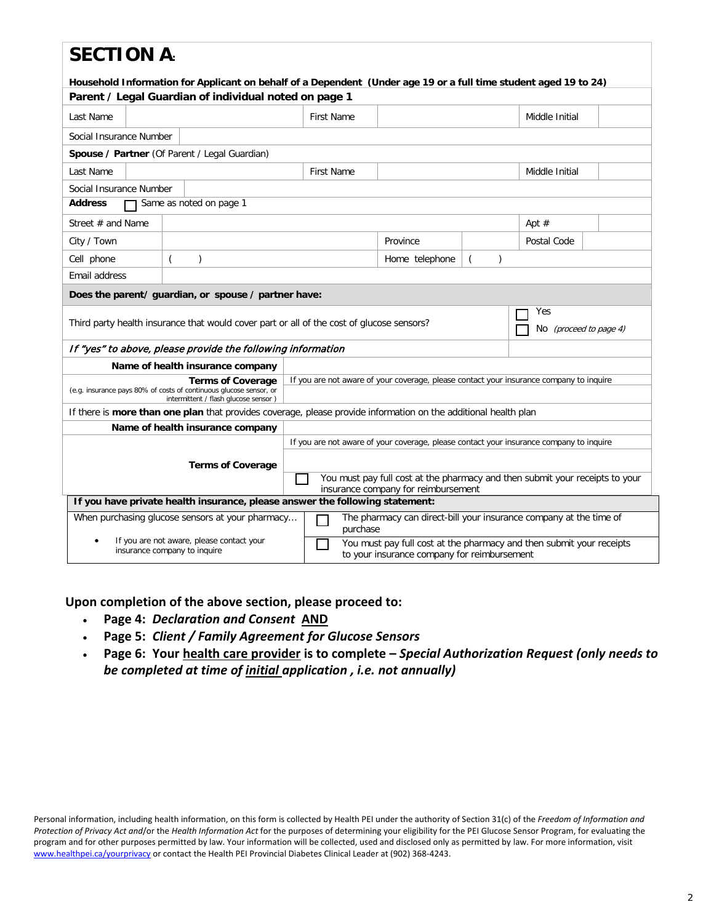### **SECTION A**

| JLVIIVII A:<br>Household Information for Applicant on behalf of a Dependent (Under age 19 or a full time student aged 19 to 24)                                                                                                            |                                                                                                                                                                                                                                   |                   |                |               |                                      |  |  |
|--------------------------------------------------------------------------------------------------------------------------------------------------------------------------------------------------------------------------------------------|-----------------------------------------------------------------------------------------------------------------------------------------------------------------------------------------------------------------------------------|-------------------|----------------|---------------|--------------------------------------|--|--|
| Parent / Legal Guardian of individual noted on page 1                                                                                                                                                                                      |                                                                                                                                                                                                                                   |                   |                |               |                                      |  |  |
| Last Name                                                                                                                                                                                                                                  |                                                                                                                                                                                                                                   | <b>First Name</b> |                |               | Middle Initial                       |  |  |
| Social Insurance Number                                                                                                                                                                                                                    |                                                                                                                                                                                                                                   |                   |                |               |                                      |  |  |
|                                                                                                                                                                                                                                            | Spouse / Partner (Of Parent / Legal Guardian)                                                                                                                                                                                     |                   |                |               |                                      |  |  |
| Last Name                                                                                                                                                                                                                                  |                                                                                                                                                                                                                                   | <b>First Name</b> |                |               | Middle Initial                       |  |  |
| Social Insurance Number                                                                                                                                                                                                                    |                                                                                                                                                                                                                                   |                   |                |               |                                      |  |  |
| <b>Address</b>                                                                                                                                                                                                                             | Same as noted on page 1                                                                                                                                                                                                           |                   |                |               |                                      |  |  |
| Street # and Name                                                                                                                                                                                                                          |                                                                                                                                                                                                                                   |                   |                |               | Apt $#$                              |  |  |
| City / Town                                                                                                                                                                                                                                |                                                                                                                                                                                                                                   |                   | Province       |               | Postal Code                          |  |  |
| Cell phone                                                                                                                                                                                                                                 | $\mathcal{E}$                                                                                                                                                                                                                     |                   | Home telephone | $\left($<br>) |                                      |  |  |
| Email address                                                                                                                                                                                                                              |                                                                                                                                                                                                                                   |                   |                |               |                                      |  |  |
|                                                                                                                                                                                                                                            | Does the parent/ guardian, or spouse / partner have:                                                                                                                                                                              |                   |                |               |                                      |  |  |
|                                                                                                                                                                                                                                            | Third party health insurance that would cover part or all of the cost of glucose sensors?                                                                                                                                         |                   |                |               | Yes<br>No <i>(proceed to page 4)</i> |  |  |
|                                                                                                                                                                                                                                            | If "yes" to above, please provide the following information                                                                                                                                                                       |                   |                |               |                                      |  |  |
|                                                                                                                                                                                                                                            | Name of health insurance company                                                                                                                                                                                                  |                   |                |               |                                      |  |  |
|                                                                                                                                                                                                                                            | If you are not aware of your coverage, please contact your insurance company to inquire<br><b>Terms of Coverage</b><br>(e.g. insurance pays 80% of costs of continuous glucose sensor, or<br>intermittent / flash glucose sensor) |                   |                |               |                                      |  |  |
|                                                                                                                                                                                                                                            | If there is <b>more than one plan</b> that provides coverage, please provide information on the additional health plan                                                                                                            |                   |                |               |                                      |  |  |
|                                                                                                                                                                                                                                            | Name of health insurance company                                                                                                                                                                                                  |                   |                |               |                                      |  |  |
| If you are not aware of your coverage, please contact your insurance company to inquire<br><b>Terms of Coverage</b><br>You must pay full cost at the pharmacy and then submit your receipts to your<br>insurance company for reimbursement |                                                                                                                                                                                                                                   |                   |                |               |                                      |  |  |
| If you have private health insurance, please answer the following statement:                                                                                                                                                               |                                                                                                                                                                                                                                   |                   |                |               |                                      |  |  |
| When purchasing glucose sensors at your pharmacy<br>The pharmacy can direct-bill your insurance company at the time of<br>purchase                                                                                                         |                                                                                                                                                                                                                                   |                   |                |               |                                      |  |  |
| If you are not aware, please contact your<br>You must pay full cost at the pharmacy and then submit your receipts<br>insurance company to inquire<br>to your insurance company for reimbursement                                           |                                                                                                                                                                                                                                   |                   |                |               |                                      |  |  |

#### **Upon completion of the above section, please proceed to:**

- **Page 4:** *Declaration and Consent* **AND**
- **Page 5:** *Client / Family Agreement for Glucose Sensors*
- **Page 6: Your health care provider is to complete –** *Special Authorization Request (only needs to be completed at time of initial application , i.e. not annually)*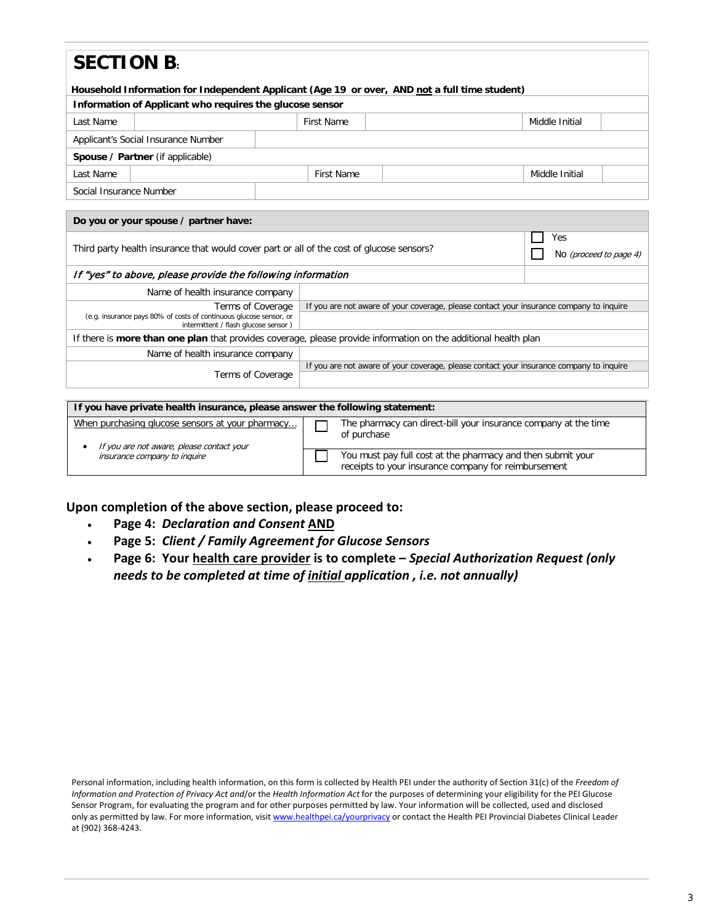| <b>SECTION B.</b>                                                                                                      |                                                                                                              |  |                                                                                         |  |  |                        |  |  |  |
|------------------------------------------------------------------------------------------------------------------------|--------------------------------------------------------------------------------------------------------------|--|-----------------------------------------------------------------------------------------|--|--|------------------------|--|--|--|
|                                                                                                                        |                                                                                                              |  |                                                                                         |  |  |                        |  |  |  |
|                                                                                                                        | Household Information for Independent Applicant (Age 19 or over, AND not a full time student)                |  |                                                                                         |  |  |                        |  |  |  |
|                                                                                                                        | Information of Applicant who requires the glucose sensor                                                     |  |                                                                                         |  |  |                        |  |  |  |
| Last Name                                                                                                              |                                                                                                              |  | <b>First Name</b>                                                                       |  |  | Middle Initial         |  |  |  |
|                                                                                                                        | Applicant's Social Insurance Number                                                                          |  |                                                                                         |  |  |                        |  |  |  |
|                                                                                                                        | Spouse / Partner (if applicable)                                                                             |  |                                                                                         |  |  |                        |  |  |  |
| Last Name                                                                                                              |                                                                                                              |  | <b>First Name</b>                                                                       |  |  | Middle Initial         |  |  |  |
| Social Insurance Number                                                                                                |                                                                                                              |  |                                                                                         |  |  |                        |  |  |  |
|                                                                                                                        |                                                                                                              |  |                                                                                         |  |  |                        |  |  |  |
|                                                                                                                        | Do you or your spouse / partner have:                                                                        |  |                                                                                         |  |  |                        |  |  |  |
|                                                                                                                        | Yes                                                                                                          |  |                                                                                         |  |  |                        |  |  |  |
| Third party health insurance that would cover part or all of the cost of glucose sensors?                              |                                                                                                              |  |                                                                                         |  |  | No (proceed to page 4) |  |  |  |
|                                                                                                                        | If "yes" to above, please provide the following information                                                  |  |                                                                                         |  |  |                        |  |  |  |
|                                                                                                                        | Name of health insurance company                                                                             |  |                                                                                         |  |  |                        |  |  |  |
|                                                                                                                        | Terms of Coverage<br>If you are not aware of your coverage, please contact your insurance company to inquire |  |                                                                                         |  |  |                        |  |  |  |
| (e.g. insurance pays 80% of costs of continuous glucose sensor, or<br>intermittent / flash glucose sensor)             |                                                                                                              |  |                                                                                         |  |  |                        |  |  |  |
| If there is <b>more than one plan</b> that provides coverage, please provide information on the additional health plan |                                                                                                              |  |                                                                                         |  |  |                        |  |  |  |
| Name of health insurance company                                                                                       |                                                                                                              |  |                                                                                         |  |  |                        |  |  |  |
|                                                                                                                        |                                                                                                              |  | If you are not aware of your coverage, please contact your insurance company to inquire |  |  |                        |  |  |  |
| Terms of Coverage                                                                                                      |                                                                                                              |  |                                                                                         |  |  |                        |  |  |  |

| If you have private health insurance, please answer the following statement:                  |  |                                                                                                                     |  |  |
|-----------------------------------------------------------------------------------------------|--|---------------------------------------------------------------------------------------------------------------------|--|--|
| When purchasing glucose sensors at your pharmacy<br>If you are not aware, please contact your |  | The pharmacy can direct-bill your insurance company at the time<br>of purchase                                      |  |  |
| insurance company to inquire                                                                  |  | You must pay full cost at the pharmacy and then submit your<br>receipts to your insurance company for reimbursement |  |  |

**Upon completion of the above section, please proceed to:**

- **Page 4:** *Declaration and Consent* **AND**
- **Page 5:** *Client / Family Agreement for Glucose Sensors*
- **Page 6: Your health care provider is to complete –** *Special Authorization Request (only needs to be completed at time of initial application , i.e. not annually)*

Personal information, including health information, on this form is collected by Health PEI under the authority of Section 31(c) of the *Freedom of Information and Protection of Privacy Act and*/or the *Health Information Act* for the purposes of determining your eligibility for the PEI Glucose Sensor Program, for evaluating the program and for other purposes permitted by law. Your information will be collected, used and disclosed only as permitted by law. For more information, visi[t www.healthpei.ca/yourprivacy](http://www.healthpei.ca/yourprivacy) or contact the Health PEI Provincial Diabetes Clinical Leader at (902) 368-4243.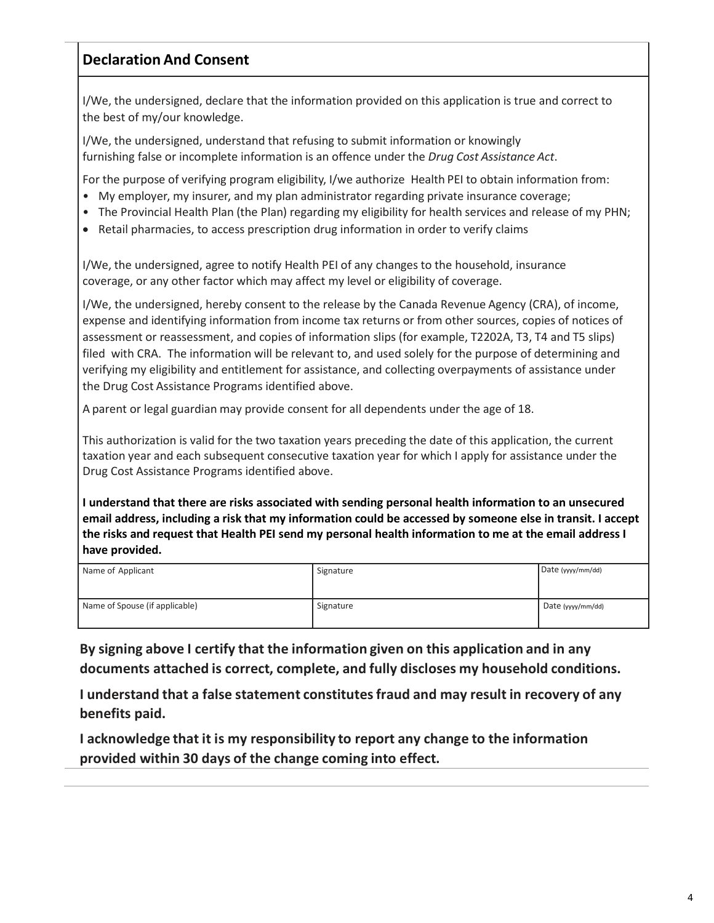#### **Declaration And Consent**

I/We, the undersigned, declare that the information provided on this application is true and correct to the best of my/our knowledge.

I/We, the undersigned, understand that refusing to submit information or knowingly furnishing false or incomplete information is an offence under the *Drug Cost Assistance Act*.

For the purpose of verifying program eligibility, I/we authorize Health PEI to obtain information from:

- My employer, my insurer, and my plan administrator regarding private insurance coverage;
- The Provincial Health Plan (the Plan) regarding my eligibility for health services and release of my PHN;
- Retail pharmacies, to access prescription drug information in order to verify claims

I/We, the undersigned, agree to notify Health PEI of any changes to the household, insurance coverage, or any other factor which may affect my level or eligibility of coverage.

I/We, the undersigned, hereby consent to the release by the Canada Revenue Agency (CRA), of income, expense and identifying information from income tax returns or from other sources, copies of notices of assessment or reassessment, and copies of information slips (for example, T2202A, T3, T4 and T5 slips) filed with CRA. The information will be relevant to, and used solely for the purpose of determining and verifying my eligibility and entitlement for assistance, and collecting overpayments of assistance under the Drug Cost Assistance Programs identified above.

A parent or legal guardian may provide consent for all dependents under the age of 18.

This authorization is valid for the two taxation years preceding the date of this application, the current taxation year and each subsequent consecutive taxation year for which I apply for assistance under the Drug Cost Assistance Programs identified above.

**I understand that there are risks associated with sending personal health information to an unsecured** email address, including a risk that my information could be accessed by someone else in transit. I accept **the risks and request that Health PEI send my personal health information to me at the email address I have provided.**

| Name of Applicant              | Signature | Date (yyyy/mm/dd) |
|--------------------------------|-----------|-------------------|
| Name of Spouse (if applicable) | Signature | Date (yyyy/mm/dd) |

**By signing above I certify that the information given on this application and in any documents attached is correct, complete, and fully discloses my household conditions.**

**I understand that a false statement constitutesfraud and may result in recovery of any benefits paid.**

**I acknowledge that it is my responsibility to report any change to the information provided within 30 days of the change coming into effect.**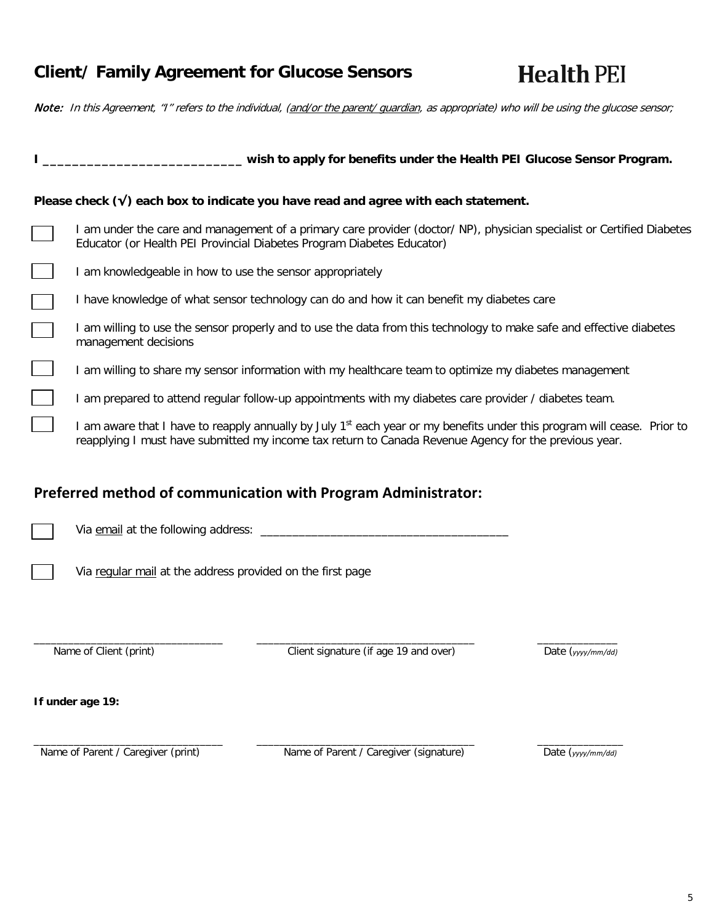### **Client/ Family Agreement for Glucose Sensors**

**Health PEI** 

Note: In this Agreement, "I" refers to the individual, (and/or the parent/ guardian, as appropriate) who will be using the glucose sensor;

|                                                                                                                                                                                                                                              | wish to apply for benefits under the Health PEI Glucose Sensor Program.                                              |                   |  |  |  |
|----------------------------------------------------------------------------------------------------------------------------------------------------------------------------------------------------------------------------------------------|----------------------------------------------------------------------------------------------------------------------|-------------------|--|--|--|
|                                                                                                                                                                                                                                              | Please check $(v)$ each box to indicate you have read and agree with each statement.                                 |                   |  |  |  |
| I am under the care and management of a primary care provider (doctor/NP), physician specialist or Certified Diabetes<br>Educator (or Health PEI Provincial Diabetes Program Diabetes Educator)                                              |                                                                                                                      |                   |  |  |  |
| I am knowledgeable in how to use the sensor appropriately                                                                                                                                                                                    |                                                                                                                      |                   |  |  |  |
|                                                                                                                                                                                                                                              | I have knowledge of what sensor technology can do and how it can benefit my diabetes care                            |                   |  |  |  |
| management decisions                                                                                                                                                                                                                         | I am willing to use the sensor properly and to use the data from this technology to make safe and effective diabetes |                   |  |  |  |
|                                                                                                                                                                                                                                              | I am willing to share my sensor information with my healthcare team to optimize my diabetes management               |                   |  |  |  |
|                                                                                                                                                                                                                                              | I am prepared to attend regular follow-up appointments with my diabetes care provider / diabetes team.               |                   |  |  |  |
| I am aware that I have to reapply annually by July 1 <sup>st</sup> each year or my benefits under this program will cease. Prior to<br>reapplying I must have submitted my income tax return to Canada Revenue Agency for the previous year. |                                                                                                                      |                   |  |  |  |
|                                                                                                                                                                                                                                              | Preferred method of communication with Program Administrator:                                                        |                   |  |  |  |
|                                                                                                                                                                                                                                              |                                                                                                                      |                   |  |  |  |
| Via regular mail at the address provided on the first page                                                                                                                                                                                   |                                                                                                                      |                   |  |  |  |
| Name of Client (print)                                                                                                                                                                                                                       | Client signature (if age 19 and over)                                                                                | Date (yyyy/mm/dd) |  |  |  |
| If under age 19:                                                                                                                                                                                                                             |                                                                                                                      |                   |  |  |  |
| Name of Parent / Caregiver (print)                                                                                                                                                                                                           | Name of Parent / Caregiver (signature)                                                                               | Date (yyyy/mm/dd) |  |  |  |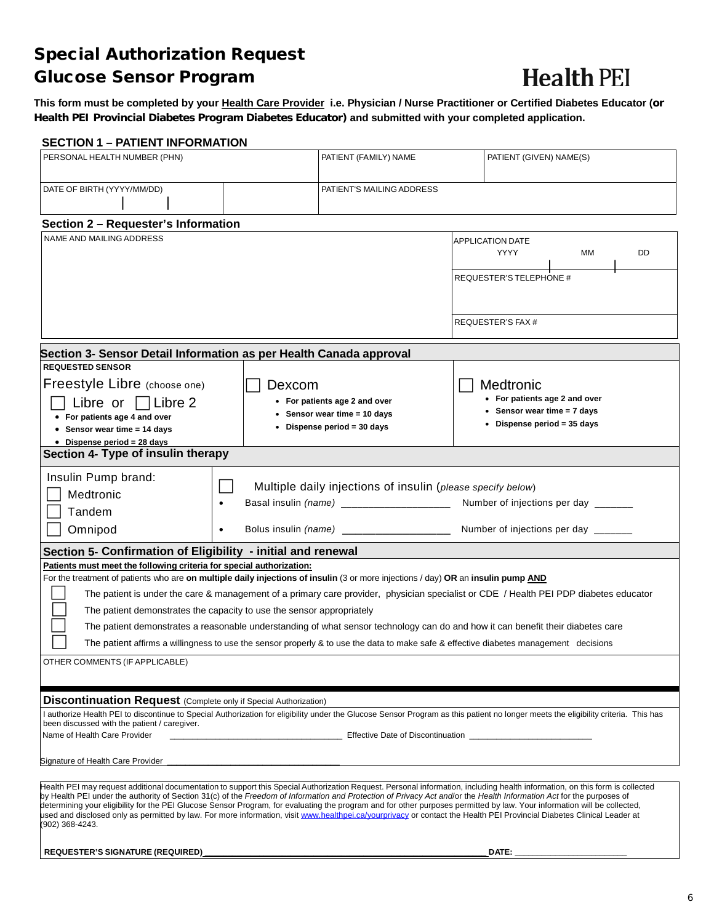### Special Authorization Request Glucose Sensor Program

# **Health PEI**

**This form must be completed by your Health Care Provider i.e. Physician / Nurse Practitioner or Certified Diabetes Educator (or Health PEI Provincial Diabetes Program Diabetes Educator) and submitted with your completed application.**

#### **SECTION 1 – PATIENT INFORMATION**

| PERSONAL HEALTH NUMBER (PHN)                                                                                                                                                                                                                                                                                                                                                                                                                                                                                                                                                                                                                                                                                                                                            |                        | PATIENT (FAMILY) NAME                                                                                                                                  |  | PATIENT (GIVEN) NAME(S)                                                                                    |  |  |
|-------------------------------------------------------------------------------------------------------------------------------------------------------------------------------------------------------------------------------------------------------------------------------------------------------------------------------------------------------------------------------------------------------------------------------------------------------------------------------------------------------------------------------------------------------------------------------------------------------------------------------------------------------------------------------------------------------------------------------------------------------------------------|------------------------|--------------------------------------------------------------------------------------------------------------------------------------------------------|--|------------------------------------------------------------------------------------------------------------|--|--|
| DATE OF BIRTH (YYYY/MM/DD)                                                                                                                                                                                                                                                                                                                                                                                                                                                                                                                                                                                                                                                                                                                                              |                        | PATIENT'S MAILING ADDRESS                                                                                                                              |  |                                                                                                            |  |  |
| Section 2 - Requester's Information                                                                                                                                                                                                                                                                                                                                                                                                                                                                                                                                                                                                                                                                                                                                     |                        |                                                                                                                                                        |  |                                                                                                            |  |  |
| NAME AND MAILING ADDRESS                                                                                                                                                                                                                                                                                                                                                                                                                                                                                                                                                                                                                                                                                                                                                |                        |                                                                                                                                                        |  | <b>APPLICATION DATE</b><br>YYYY<br>MМ<br>DD<br><b>REQUESTER'S TELEPHONE #</b><br>REQUESTER'S FAX #         |  |  |
| Section 3- Sensor Detail Information as per Health Canada approval                                                                                                                                                                                                                                                                                                                                                                                                                                                                                                                                                                                                                                                                                                      |                        |                                                                                                                                                        |  |                                                                                                            |  |  |
| <b>REQUESTED SENSOR</b><br>Freestyle Libre (choose one)<br>∃Libre 2<br>Libre or<br>• For patients age 4 and over<br>• Sensor wear time $= 14$ days<br>$\bullet$ Dispense period = 28 days<br>Section 4- Type of insulin therapy                                                                                                                                                                                                                                                                                                                                                                                                                                                                                                                                         | Dexcom                 | • For patients age 2 and over<br>• Sensor wear time = 10 days<br>• Dispense period = 30 days                                                           |  | Medtronic<br>• For patients age 2 and over<br>• Sensor wear time $= 7$ days<br>• Dispense period = 35 days |  |  |
|                                                                                                                                                                                                                                                                                                                                                                                                                                                                                                                                                                                                                                                                                                                                                                         |                        |                                                                                                                                                        |  |                                                                                                            |  |  |
| Insulin Pump brand:<br>Medtronic<br>Tandem<br>Omnipod                                                                                                                                                                                                                                                                                                                                                                                                                                                                                                                                                                                                                                                                                                                   | $\bullet$<br>$\bullet$ | Multiple daily injections of insulin (please specify below)<br>Basal insulin (name) ______________________<br>Bolus insulin (name) ___________________ |  | Number of injections per day ______<br>Number of injections per day ______                                 |  |  |
|                                                                                                                                                                                                                                                                                                                                                                                                                                                                                                                                                                                                                                                                                                                                                                         |                        |                                                                                                                                                        |  |                                                                                                            |  |  |
| Section 5- Confirmation of Eligibility - initial and renewal<br>Patients must meet the following criteria for special authorization:<br>For the treatment of patients who are on multiple daily injections of insulin (3 or more injections / day) OR an insulin pump AND<br>The patient is under the care & management of a primary care provider, physician specialist or CDE / Health PEI PDP diabetes educator<br>The patient demonstrates the capacity to use the sensor appropriately<br>The patient demonstrates a reasonable understanding of what sensor technology can do and how it can benefit their diabetes care<br>The patient affirms a willingness to use the sensor properly & to use the data to make safe & effective diabetes management decisions |                        |                                                                                                                                                        |  |                                                                                                            |  |  |
| OTHER COMMENTS (IF APPLICABLE)                                                                                                                                                                                                                                                                                                                                                                                                                                                                                                                                                                                                                                                                                                                                          |                        |                                                                                                                                                        |  |                                                                                                            |  |  |
| <b>Discontinuation Request</b> (Complete only if Special Authorization)<br>I authorize Health PEI to discontinue to Special Authorization for eligibility under the Glucose Sensor Program as this patient no longer meets the eligibility criteria. This has<br>been discussed with the patient / caregiver.<br>Name of Health Care Provider<br>Effective Date of Discontinuation                                                                                                                                                                                                                                                                                                                                                                                      |                        |                                                                                                                                                        |  |                                                                                                            |  |  |
| Signature of Health Care Provider                                                                                                                                                                                                                                                                                                                                                                                                                                                                                                                                                                                                                                                                                                                                       |                        |                                                                                                                                                        |  |                                                                                                            |  |  |
| Health PEI may request additional documentation to support this Special Authorization Request. Personal information, including health information, on this form is collected<br>by Health PEI under the authority of Section 31(c) of the Freedom of Information and Protection of Privacy Act and/or the Health Information Act for the purposes of<br>determining your eligibility for the PEI Glucose Sensor Program, for evaluating the program and for other purposes permitted by law. Your information will be collected,<br>used and disclosed only as permitted by law. For more information, visit www.healthpei.ca/yourprivacy or contact the Health PEI Provincial Diabetes Clinical Leader at<br>(902) 368-4243.                                           |                        |                                                                                                                                                        |  |                                                                                                            |  |  |
| <b>REQUESTER'S SIGNATURE (REQUIRED)</b>                                                                                                                                                                                                                                                                                                                                                                                                                                                                                                                                                                                                                                                                                                                                 |                        |                                                                                                                                                        |  | <b>DATE:</b>                                                                                               |  |  |